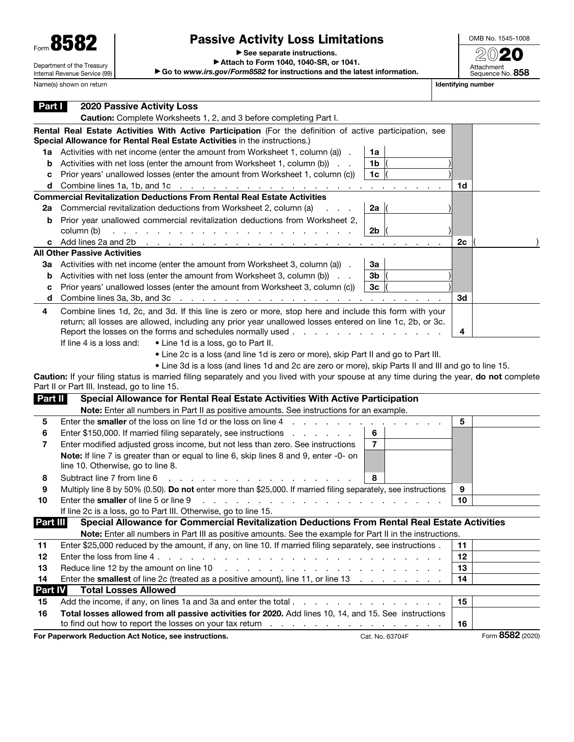| $F_{\text{form}}$ 858.     |
|----------------------------|
| Department of the Treasury |

Internal Revenue Service (99)

## Passive Activity Loss Limitations

▶ See separate instructions.

▶ Attach to Form 1040, 1040-SR, or 1041.

▶ Go to *www.irs.gov/Form8582* for instructions and the latest information.

OMB No. 1545-1008 2020 Attachment<br>Sequence No. **858** 

Name(s) shown on return **If the struck and the struck of the struck of the struck of the struck of the struck of the struck of the struck of the struck of the struck of the struck of the struck of the struck of the struck** 

| Part I   | <b>2020 Passive Activity Loss</b>                                                                                                                                                           |                 |                  |
|----------|---------------------------------------------------------------------------------------------------------------------------------------------------------------------------------------------|-----------------|------------------|
|          | Caution: Complete Worksheets 1, 2, and 3 before completing Part I.                                                                                                                          |                 |                  |
|          | Rental Real Estate Activities With Active Participation (For the definition of active participation, see                                                                                    |                 |                  |
|          | Special Allowance for Rental Real Estate Activities in the instructions.)                                                                                                                   |                 |                  |
|          | 1a Activities with net income (enter the amount from Worksheet 1, column (a)).<br>1a                                                                                                        |                 |                  |
| b        | Activities with net loss (enter the amount from Worksheet 1, column (b))<br>1b                                                                                                              |                 |                  |
| с        | Prior years' unallowed losses (enter the amount from Worksheet 1, column (c))<br>1 <sub>c</sub>                                                                                             |                 |                  |
|          | <b>d</b> Combine lines 1a, 1b, and 1c $\ldots$ $\ldots$ $\ldots$ $\ldots$ $\ldots$ $\ldots$ $\ldots$                                                                                        | 1d              |                  |
|          | Commercial Revitalization Deductions From Rental Real Estate Activities                                                                                                                     |                 |                  |
| 2a       | Commercial revitalization deductions from Worksheet 2, column (a)<br>2a                                                                                                                     |                 |                  |
| b        | Prior year unallowed commercial revitalization deductions from Worksheet 2,                                                                                                                 |                 |                  |
|          | column (b)<br>2b<br>and a state of the state of                                                                                                                                             |                 |                  |
|          | c Add lines 2a and 2b<br>the contract of the contract of<br>$\mathbf{r} = \mathbf{r}$                                                                                                       | 2c              |                  |
|          | <b>All Other Passive Activities</b>                                                                                                                                                         |                 |                  |
| За       | Activities with net income (enter the amount from Worksheet 3, column (a)).<br>За                                                                                                           |                 |                  |
| b        | Activities with net loss (enter the amount from Worksheet 3, column (b))<br>3b                                                                                                              |                 |                  |
| с        | Prior years' unallowed losses (enter the amount from Worksheet 3, column (c))<br>3 <sub>c</sub>                                                                                             |                 |                  |
| d        |                                                                                                                                                                                             | 3d              |                  |
| 4        | Combine lines 1d, 2c, and 3d. If this line is zero or more, stop here and include this form with your                                                                                       |                 |                  |
|          | return; all losses are allowed, including any prior year unallowed losses entered on line 1c, 2b, or 3c.                                                                                    |                 |                  |
|          | Report the losses on the forms and schedules normally used.<br>• Line 1d is a loss, go to Part II.<br>If line 4 is a loss and:                                                              | 4               |                  |
|          |                                                                                                                                                                                             |                 |                  |
|          | • Line 2c is a loss (and line 1d is zero or more), skip Part II and go to Part III.<br>. Line 3d is a loss (and lines 1d and 2c are zero or more), skip Parts II and III and go to line 15. |                 |                  |
|          | Caution: If your filing status is married filing separately and you lived with your spouse at any time during the year, do not complete                                                     |                 |                  |
|          | Part II or Part III. Instead, go to line 15.                                                                                                                                                |                 |                  |
| Part II  | Special Allowance for Rental Real Estate Activities With Active Participation                                                                                                               |                 |                  |
|          | Note: Enter all numbers in Part II as positive amounts. See instructions for an example.                                                                                                    |                 |                  |
| 5        | Enter the smaller of the loss on line 1d or the loss on line 4                                                                                                                              | 5               |                  |
| 6        | 6<br>Enter \$150,000. If married filing separately, see instructions<br>and a strain and a                                                                                                  |                 |                  |
| 7        | $\overline{7}$<br>Enter modified adjusted gross income, but not less than zero. See instructions                                                                                            |                 |                  |
|          | Note: If line 7 is greater than or equal to line 6, skip lines 8 and 9, enter -0- on                                                                                                        |                 |                  |
|          | line 10. Otherwise, go to line 8.                                                                                                                                                           |                 |                  |
| 8        | Subtract line 7 from line 6<br>8                                                                                                                                                            |                 |                  |
| 9        | Multiply line 8 by 50% (0.50). Do not enter more than \$25,000. If married filing separately, see instructions                                                                              | 9               |                  |
| 10       | Enter the smaller of line 5 or line 9                                                                                                                                                       | 10              |                  |
|          | If line 2c is a loss, go to Part III. Otherwise, go to line 15.                                                                                                                             |                 |                  |
| Part III | Special Allowance for Commercial Revitalization Deductions From Rental Real Estate Activities                                                                                               |                 |                  |
|          | Note: Enter all numbers in Part III as positive amounts. See the example for Part II in the instructions.                                                                                   |                 |                  |
| 11       | Enter \$25,000 reduced by the amount, if any, on line 10. If married filing separately, see instructions.                                                                                   | 11              |                  |
| 12       |                                                                                                                                                                                             | 12 <sub>2</sub> |                  |
| 13       | Reduce line 12 by the amount on line 10<br>and the contract of the contract of the contract of the contract of                                                                              | 13              |                  |
| 14       | Enter the smallest of line 2c (treated as a positive amount), line 11, or line 13                                                                                                           | 14              |                  |
| Part IV  | <b>Total Losses Allowed</b>                                                                                                                                                                 |                 |                  |
| 15       | Add the income, if any, on lines 1a and 3a and enter the total                                                                                                                              | 15              |                  |
| 16       | Total losses allowed from all passive activities for 2020. Add lines 10, 14, and 15. See instructions                                                                                       |                 |                  |
|          |                                                                                                                                                                                             | 16              | Form 8582 (2020) |
|          | For Paperwork Reduction Act Notice, see instructions.<br>Cat. No. 63704F                                                                                                                    |                 |                  |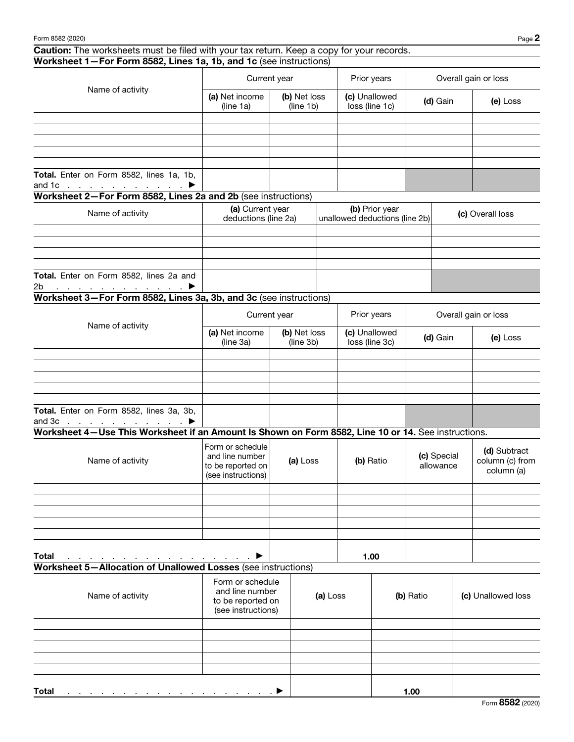## Caution: The worksheets must be filed with your tax return. Keep a copy for your records.

| Worksheet 1-For Form 8582, Lines 1a, 1b, and 1c (see instructions)                                  |                                                                                              |  |                           |                                 |                                                  |                          |                      |  |                                               |  |
|-----------------------------------------------------------------------------------------------------|----------------------------------------------------------------------------------------------|--|---------------------------|---------------------------------|--------------------------------------------------|--------------------------|----------------------|--|-----------------------------------------------|--|
| Name of activity                                                                                    | Current year                                                                                 |  | Prior years               |                                 | Overall gain or loss                             |                          |                      |  |                                               |  |
|                                                                                                     | (a) Net income<br>(line 1a)                                                                  |  | (b) Net loss<br>(line 1b) | (c) Unallowed<br>loss (line 1c) |                                                  | (d) Gain                 |                      |  | (e) Loss                                      |  |
|                                                                                                     |                                                                                              |  |                           |                                 |                                                  |                          |                      |  |                                               |  |
|                                                                                                     |                                                                                              |  |                           |                                 |                                                  |                          |                      |  |                                               |  |
|                                                                                                     |                                                                                              |  |                           |                                 |                                                  |                          |                      |  |                                               |  |
|                                                                                                     |                                                                                              |  |                           |                                 |                                                  |                          |                      |  |                                               |  |
| Total. Enter on Form 8582, lines 1a, 1b,<br>and 1c $\ldots$ $\ldots$ $\ldots$ $\ldots$              |                                                                                              |  |                           |                                 |                                                  |                          |                      |  |                                               |  |
| Worksheet 2-For Form 8582, Lines 2a and 2b (see instructions)                                       |                                                                                              |  |                           |                                 |                                                  |                          |                      |  |                                               |  |
| Name of activity                                                                                    | (a) Current year<br>deductions (line 2a)                                                     |  |                           |                                 | (b) Prior year<br>unallowed deductions (line 2b) |                          | (c) Overall loss     |  |                                               |  |
|                                                                                                     |                                                                                              |  |                           |                                 |                                                  |                          |                      |  |                                               |  |
|                                                                                                     |                                                                                              |  |                           |                                 |                                                  |                          |                      |  |                                               |  |
|                                                                                                     |                                                                                              |  |                           |                                 |                                                  |                          |                      |  |                                               |  |
| Total. Enter on Form 8582, lines 2a and<br><u> 1999 - Jan Barnett, parkent et al. 19</u><br>2b      |                                                                                              |  |                           |                                 |                                                  |                          |                      |  |                                               |  |
| Worksheet 3-For Form 8582, Lines 3a, 3b, and 3c (see instructions)                                  |                                                                                              |  |                           |                                 |                                                  |                          |                      |  |                                               |  |
|                                                                                                     | Current year<br>Name of activity<br>(a) Net income<br>(b) Net loss<br>(line 3a)<br>(line 3b) |  |                           | Prior years                     |                                                  |                          | Overall gain or loss |  |                                               |  |
|                                                                                                     |                                                                                              |  |                           | (c) Unallowed<br>loss (line 3c) |                                                  |                          | (d) Gain             |  | (e) Loss                                      |  |
|                                                                                                     |                                                                                              |  |                           |                                 |                                                  |                          |                      |  |                                               |  |
|                                                                                                     |                                                                                              |  |                           |                                 |                                                  |                          |                      |  |                                               |  |
|                                                                                                     |                                                                                              |  |                           |                                 |                                                  |                          |                      |  |                                               |  |
|                                                                                                     |                                                                                              |  |                           |                                 |                                                  |                          |                      |  |                                               |  |
| Total. Enter on Form 8582, lines 3a, 3b,<br>and $3c$<br>▶                                           |                                                                                              |  |                           |                                 |                                                  |                          |                      |  |                                               |  |
| Worksheet 4-Use This Worksheet if an Amount Is Shown on Form 8582, Line 10 or 14. See instructions. |                                                                                              |  |                           |                                 |                                                  |                          |                      |  |                                               |  |
| Name of activity                                                                                    | Form or schedule<br>and line number<br>to be reported on<br>(see instructions)               |  | (a) Loss                  | (b) Ratio                       |                                                  | (c) Special<br>allowance |                      |  | (d) Subtract<br>column (c) from<br>column (a) |  |
|                                                                                                     |                                                                                              |  |                           |                                 |                                                  |                          |                      |  |                                               |  |
|                                                                                                     |                                                                                              |  |                           |                                 |                                                  |                          |                      |  |                                               |  |
|                                                                                                     |                                                                                              |  |                           |                                 |                                                  |                          |                      |  |                                               |  |
|                                                                                                     |                                                                                              |  |                           |                                 |                                                  |                          |                      |  |                                               |  |
| Total                                                                                               |                                                                                              |  |                           |                                 | 1.00                                             |                          |                      |  |                                               |  |
| Worksheet 5-Allocation of Unallowed Losses (see instructions)                                       |                                                                                              |  |                           |                                 |                                                  |                          |                      |  |                                               |  |
| Name of activity                                                                                    | Form or schedule<br>and line number<br>to be reported on<br>(see instructions)               |  |                           | (a) Loss                        |                                                  |                          | (b) Ratio            |  | (c) Unallowed loss                            |  |
|                                                                                                     |                                                                                              |  |                           |                                 |                                                  |                          |                      |  |                                               |  |
|                                                                                                     |                                                                                              |  |                           |                                 |                                                  |                          |                      |  |                                               |  |
|                                                                                                     |                                                                                              |  |                           |                                 |                                                  |                          |                      |  |                                               |  |
|                                                                                                     |                                                                                              |  |                           |                                 |                                                  |                          |                      |  |                                               |  |

Total . . . . . . . . . . . . . . . . . . . ▶ 1.00